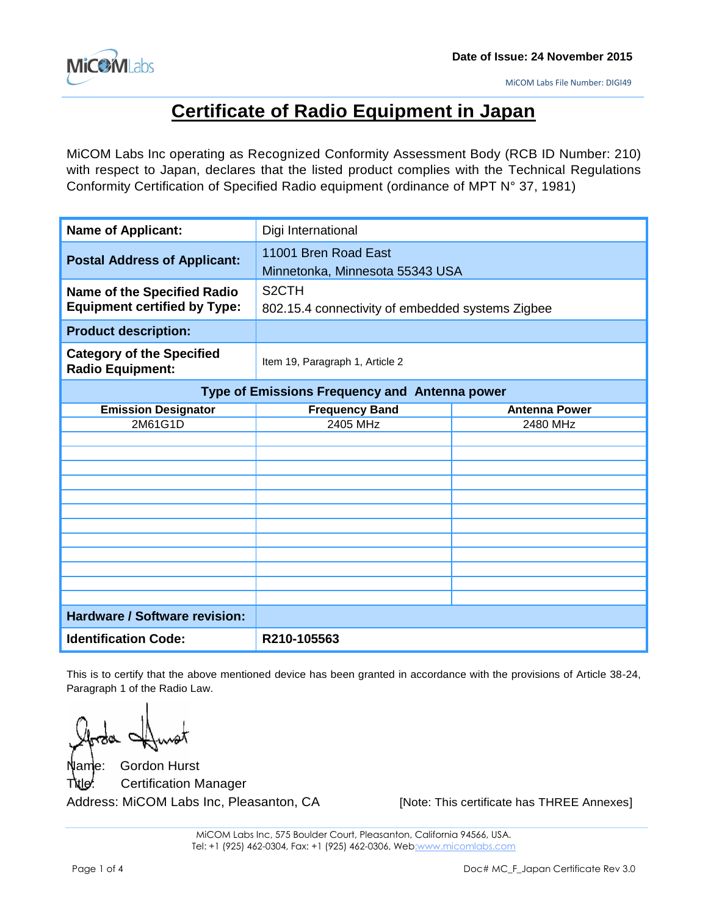

# **Certificate of Radio Equipment in Japan**

MiCOM Labs Inc operating as Recognized Conformity Assessment Body (RCB ID Number: 210) with respect to Japan, declares that the listed product complies with the Technical Regulations Conformity Certification of Specified Radio equipment (ordinance of MPT N° 37, 1981)

| <b>Name of Applicant:</b>                                                 | Digi International                                                     |                      |
|---------------------------------------------------------------------------|------------------------------------------------------------------------|----------------------|
| <b>Postal Address of Applicant:</b>                                       | 11001 Bren Road East<br>Minnetonka, Minnesota 55343 USA                |                      |
| <b>Name of the Specified Radio</b><br><b>Equipment certified by Type:</b> | S <sub>2</sub> CTH<br>802.15.4 connectivity of embedded systems Zigbee |                      |
| <b>Product description:</b>                                               |                                                                        |                      |
| <b>Category of the Specified</b><br><b>Radio Equipment:</b>               | Item 19, Paragraph 1, Article 2                                        |                      |
| Type of Emissions Frequency and Antenna power                             |                                                                        |                      |
| <b>Emission Designator</b>                                                | <b>Frequency Band</b>                                                  | <b>Antenna Power</b> |
| 2M61G1D                                                                   | 2405 MHz                                                               | 2480 MHz             |
|                                                                           |                                                                        |                      |
|                                                                           |                                                                        |                      |
|                                                                           |                                                                        |                      |
|                                                                           |                                                                        |                      |
|                                                                           |                                                                        |                      |
|                                                                           |                                                                        |                      |
|                                                                           |                                                                        |                      |
|                                                                           |                                                                        |                      |
|                                                                           |                                                                        |                      |
|                                                                           |                                                                        |                      |
|                                                                           |                                                                        |                      |
| <b>Hardware / Software revision:</b>                                      |                                                                        |                      |
| <b>Identification Code:</b>                                               | R210-105563                                                            |                      |

This is to certify that the above mentioned device has been granted in accordance with the provisions of Article 38-24, Paragraph 1 of the Radio Law.

Name: Gordon Hurst **Certification Manager** Address: MiCOM Labs Inc, Pleasanton, CA [Note: This certificate has THREE Annexes]

MiCOM Labs Inc, 575 Boulder Court, Pleasanton, California 94566, USA. Tel: +1 (925) 462-0304, Fax: +1 (925) 462-0306, Web:www.micomlabs.com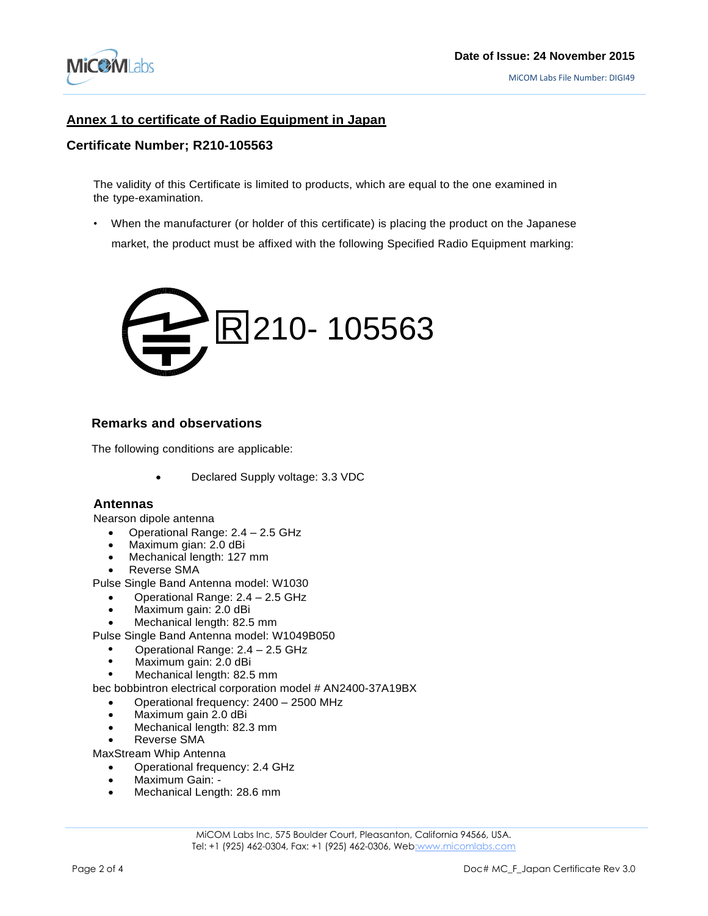

## **Annex 1 to certificate of Radio Equipment in Japan**

#### **Certificate Number; R210-105563**

The validity of this Certificate is limited to products, which are equal to the one examined in the type-examination.

• When the manufacturer (or holder of this certificate) is placing the product on the Japanese market, the product must be affixed with the following Specified Radio Equipment marking:



#### **Remarks and observations**

The following conditions are applicable:

Declared Supply voltage: 3.3 VDC

#### **Antennas**

Nearson dipole antenna

- Operational Range: 2.4 2.5 GHz
- Maximum gian: 2.0 dBi
- Mechanical length: 127 mm
- Reverse SMA

Pulse Single Band Antenna model: W1030

- Operational Range: 2.4 2.5 GHz
- Maximum gain: 2.0 dBi
- Mechanical length: 82.5 mm

Pulse Single Band Antenna model: W1049B050

- **•** Operational Range: 2.4 2.5 GHz
- **•** Maximum gain: 2.0 dBi
- **•** Mechanical length: 82.5 mm

bec bobbintron electrical corporation model # AN2400-37A19BX

- Operational frequency: 2400 2500 MHz
- Maximum gain 2.0 dBi
- Mechanical length: 82.3 mm
- Reverse SMA

MaxStream Whip Antenna

- Operational frequency: 2.4 GHz
- Maximum Gain: -
- Mechanical Length: 28.6 mm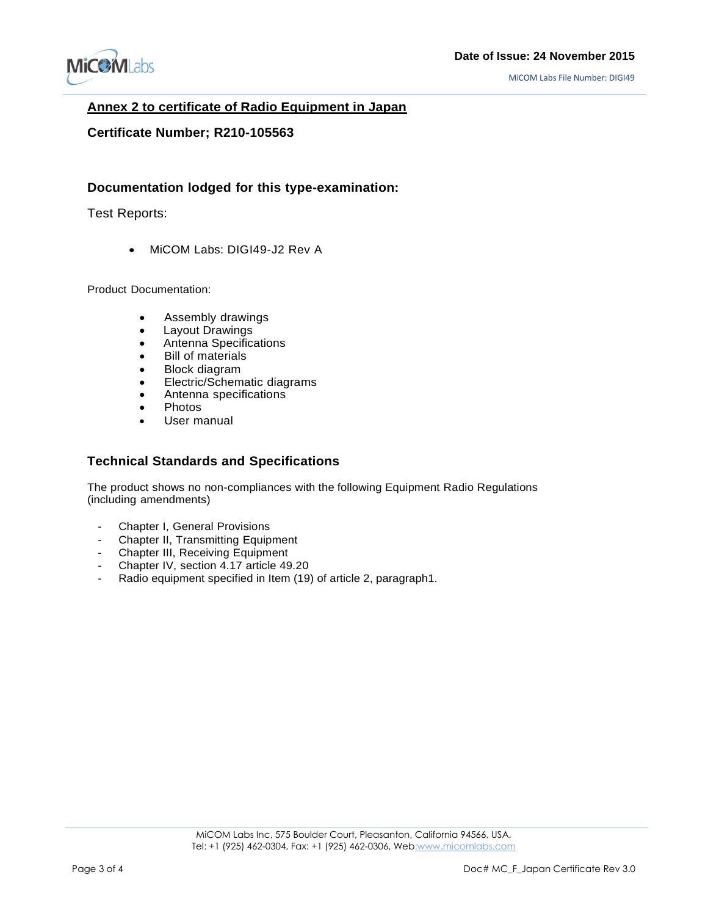

### **Annex 2 to certificate of Radio Equipment in Japan**

#### **Certificate Number; R210-105563**

### **Documentation lodged for this type-examination:**

Test Reports:

• MiCOM Labs: DIGI49-J2 Rev A

Product Documentation:

- -Assembly drawings
- Layout Drawings
- Antenna Specifications
- -Bill of materials
- Block diagram
- -Electric/Schematic diagrams
- -Antenna specifications
- Photos
- User manual

### **Technical Standards and Specifications**

The product shows no non-compliances with the following Equipment Radio Regulations (including amendments)

- Chapter I, General Provisions<br>- Chapter II Transmitting Fourn
- Chapter II, Transmitting Equipment
- Chapter III, Receiving Equipment
- Chapter IV, section 4.17 article 49.20
- Radio equipment specified in Item (19) of article 2, paragraph1.